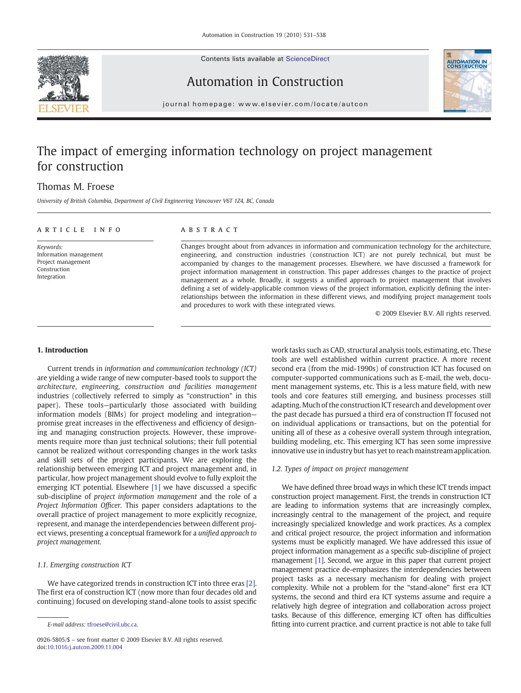Contents lists available at ScienceDirect





## Automation in Construction

 $j$  o u r n a l  $i$  a  $i$  events existence  $i$  and  $i$  and  $i$  and  $i$  contains the  $i$ 

# The impact of emerging information technology on project management for construction

### Thomas M. Froese

University of British Columbia, Department of Civil Engineering Vancouver V6T 1Z4, BC, Canada

#### article info abstract

Keywords: Information management Project management Construction Integration

Changes brought about from advances in information and communication technology for the architecture, engineering, and construction industries (construction ICT) are not purely technical, but must be accompanied by changes to the management processes. Elsewhere, we have discussed a framework for project information management in construction. This paper addresses changes to the practice of project management as a whole. Broadly, it suggests a unified approach to project management that involves defining a set of widely-applicable common views of the project information, explicitly defining the interrelationships between the information in these different views, and modifying project management tools and procedures to work with these integrated views.

© 2009 Elsevier B.V. All rights reserved.

#### 1. Introduction

Current trends in information and communication technology (ICT) are yielding a wide range of new computer-based tools to support the architecture, engineering, construction and facilities management industries (collectively referred to simply as "construction" in this paper). These tools—particularly those associated with building information models (BIMs) for project modeling and integration promise great increases in the effectiveness and efficiency of designing and managing construction projects. However, these improvements require more than just technical solutions; their full potential cannot be realized without corresponding changes in the work tasks and skill sets of the project participants. We are exploring the relationship between emerging ICT and project management and, in particular, how project management should evolve to fully exploit the emerging ICT potential. Elsewhere [\[1\]](#page--1-0) we have discussed a specific sub-discipline of project information management and the role of a Project Information Officer. This paper considers adaptations to the overall practice of project management to more explicitly recognize, represent, and manage the interdependencies between different project views, presenting a conceptual framework for a unified approach to project management.

#### 1.1. Emerging construction ICT

We have categorized trends in construction ICT into three eras [\[2\].](#page--1-0) The first era of construction ICT (now more than four decades old and continuing) focused on developing stand-alone tools to assist specific work tasks such as CAD, structural analysis tools, estimating, etc. These tools are well established within current practice. A more recent second era (from the mid-1990s) of construction ICT has focused on computer-supported communications such as E-mail, the web, document management systems, etc. This is a less mature field, with new tools and core features still emerging, and business processes still adapting. Much of the construction ICT research and development over the past decade has pursued a third era of construction IT focused not on individual applications or transactions, but on the potential for uniting all of these as a cohesive overall system through integration, building modeling, etc. This emerging ICT has seen some impressive innovative use in industry but has yet to reach mainstream application.

#### 1.2. Types of impact on project management

We have defined three broad ways in which these ICT trends impact construction project management. First, the trends in construction ICT are leading to information systems that are increasingly complex, increasingly central to the management of the project, and require increasingly specialized knowledge and work practices. As a complex and critical project resource, the project information and information systems must be explicitly managed. We have addressed this issue of project information management as a specific sub-discipline of project management [\[1\]](#page--1-0). Second, we argue in this paper that current project management practice de-emphasizes the interdependencies between project tasks as a necessary mechanism for dealing with project complexity. While not a problem for the "stand-alone" first era ICT systems, the second and third era ICT systems assume and require a relatively high degree of integration and collaboration across project tasks. Because of this difference, emerging ICT often has difficulties fitting into current practice, and current practice is not able to take full

E-mail address: [tfroese@civil.ubc.ca](mailto:tfroese@civil.ubc.ca).

<sup>0926-5805/\$</sup> – see front matter © 2009 Elsevier B.V. All rights reserved. doi:[10.1016/j.autcon.2009.11.004](http://dx.doi.org/10.1016/j.autcon.2009.11.004)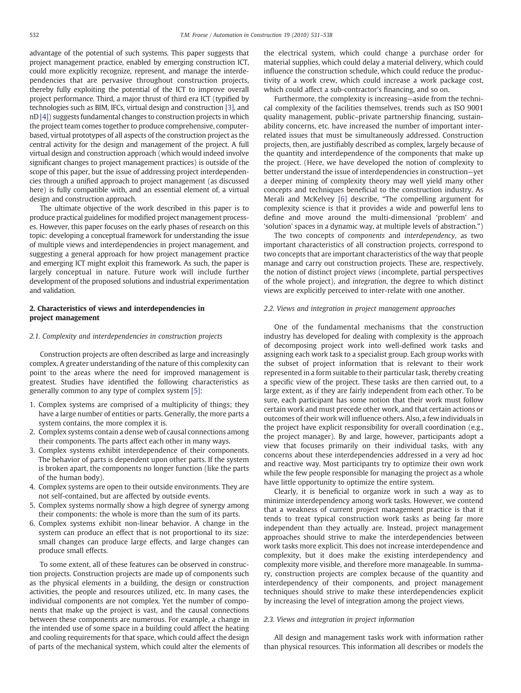advantage of the potential of such systems. This paper suggests that project management practice, enabled by emerging construction ICT, could more explicitly recognize, represent, and manage the interdependencies that are pervasive throughout construction projects, thereby fully exploiting the potential of the ICT to improve overall project performance. Third, a major thrust of third era ICT (typified by technologies such as BIM, IFCs, virtual design and construction [\[3\],](#page--1-0) and nD [\[4\]\)](#page--1-0) suggests fundamental changes to construction projects in which the project team comes together to produce comprehensive, computerbased, virtual prototypes of all aspects of the construction project as the central activity for the design and management of the project. A full virtual design and construction approach (which would indeed involve significant changes to project management practices) is outside of the scope of this paper, but the issue of addressing project interdependencies through a unified approach to project management (as discussed here) is fully compatible with, and an essential element of, a virtual design and construction approach.

The ultimate objective of the work described in this paper is to produce practical guidelines for modified project management processes. However, this paper focuses on the early phases of research on this topic: developing a conceptual framework for understanding the issue of multiple views and interdependencies in project management, and suggesting a general approach for how project management practice and emerging ICT might exploit this framework. As such, the paper is largely conceptual in nature. Future work will include further development of the proposed solutions and industrial experimentation and validation.

#### 2. Characteristics of views and interdependencies in project management

#### 2.1. Complexity and interdependencies in construction projects

Construction projects are often described as large and increasingly complex. A greater understanding of the nature of this complexity can point to the areas where the need for improved management is greatest. Studies have identified the following characteristics as generally common to any type of complex system [\[5\]:](#page--1-0)

- 1. Complex systems are comprised of a multiplicity of things; they have a large number of entities or parts. Generally, the more parts a system contains, the more complex it is.
- 2. Complex systems contain a dense web of causal connections among their components. The parts affect each other in many ways.
- 3. Complex systems exhibit interdependence of their components. The behavior of parts is dependent upon other parts. If the system is broken apart, the components no longer function (like the parts of the human body).
- 4. Complex systems are open to their outside environments. They are not self-contained, but are affected by outside events.
- 5. Complex systems normally show a high degree of synergy among their components: the whole is more than the sum of its parts.
- 6. Complex systems exhibit non-linear behavior. A change in the system can produce an effect that is not proportional to its size: small changes can produce large effects, and large changes can produce small effects.

To some extent, all of these features can be observed in construction projects. Construction projects are made up of components such as the physical elements in a building, the design or construction activities, the people and resources utilized, etc. In many cases, the individual components are not complex. Yet the number of components that make up the project is vast, and the causal connections between these components are numerous. For example, a change in the intended use of some space in a building could affect the heating and cooling requirements for that space, which could affect the design of parts of the mechanical system, which could alter the elements of the electrical system, which could change a purchase order for material supplies, which could delay a material delivery, which could influence the construction schedule, which could reduce the productivity of a work crew, which could increase a work package cost, which could affect a sub-contractor's financing, and so on.

Furthermore, the complexity is increasing—aside from the technical complexity of the facilities themselves, trends such as ISO 9001 quality management, public–private partnership financing, sustainability concerns, etc. have increased the number of important interrelated issues that must be simultaneously addressed. Construction projects, then, are justifiably described as complex, largely because of the quantity and interdependence of the components that make up the project. (Here, we have developed the notion of complexity to better understand the issue of interdependencies in construction—yet a deeper mining of complexity theory may well yield many other concepts and techniques beneficial to the construction industry. As Merali and McKelvey [\[6\]](#page--1-0) describe, "The compelling argument for complexity science is that it provides a wide and powerful lens to define and move around the multi-dimensional 'problem' and 'solution' spaces in a dynamic way, at multiple levels of abstraction.")

The two concepts of components and interdependency, as two important characteristics of all construction projects, correspond to two concepts that are important characteristics of the way that people manage and carry out construction projects. These are, respectively, the notion of distinct project views (incomplete, partial perspectives of the whole project), and integration, the degree to which distinct views are explicitly perceived to inter-relate with one another.

#### 2.2. Views and integration in project management approaches

One of the fundamental mechanisms that the construction industry has developed for dealing with complexity is the approach of decomposing project work into well-defined work tasks and assigning each work task to a specialist group. Each group works with the subset of project information that is relevant to their work represented in a form suitable to their particular task, thereby creating a specific view of the project. These tasks are then carried out, to a large extent, as if they are fairly independent from each other. To be sure, each participant has some notion that their work must follow certain work and must precede other work, and that certain actions or outcomes of their work will influence others. Also, a few individuals in the project have explicit responsibility for overall coordination (e.g., the project manager). By and large, however, participants adopt a view that focuses primarily on their individual tasks, with any concerns about these interdependencies addressed in a very ad hoc and reactive way. Most participants try to optimize their own work while the few people responsible for managing the project as a whole have little opportunity to optimize the entire system.

Clearly, it is beneficial to organize work in such a way as to minimize interdependency among work tasks. However, we contend that a weakness of current project management practice is that it tends to treat typical construction work tasks as being far more independent than they actually are. Instead, project management approaches should strive to make the interdependencies between work tasks more explicit. This does not increase interdependence and complexity, but it does make the existing interdependency and complexity more visible, and therefore more manageable. In summary, construction projects are complex because of the quantity and interdependency of their components, and project management techniques should strive to make these interdependencies explicit by increasing the level of integration among the project views.

#### 2.3. Views and integration in project information

All design and management tasks work with information rather than physical resources. This information all describes or models the